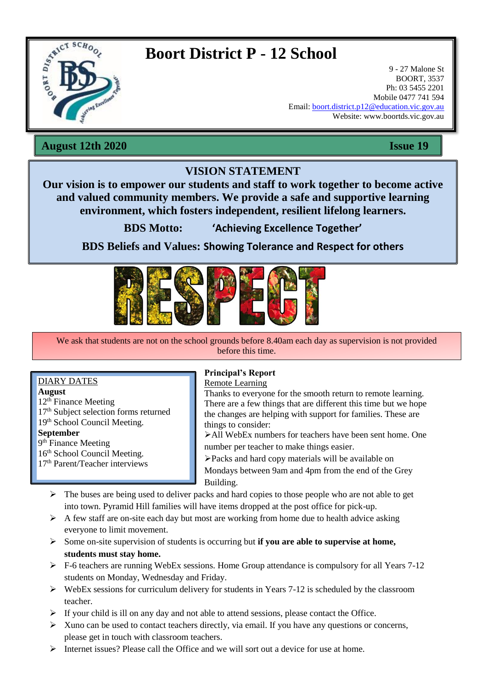

# **Boort District P - 12 School**

9 - 27 Malone St BOORT, 3537 Ph: 03 5455 2201 Mobile 0477 741 594 Email: [boort.district.p12@education.vic.gov.au](mailto:boort.district.p12@education.vic.gov.au) Website: www.boortds.vic.gov.au

**August 12th 2020 Issue 19**

## **VISION STATEMENT**

**Our vision is to empower our students and staff to work together to become active and valued community members. We provide a safe and supportive learning environment, which fosters independent, resilient lifelong learners.**

**BDS Motto: 'Achieving Excellence Together'**

**BDS Beliefs and Values: Showing Tolerance and Respect for others**



We ask that students are not on the school grounds before 8.40am each day as supervision is not provided before this time.

### DIARY DATES

**August**

12th Finance Meeting 17<sup>th</sup> Subject selection forms returned 19<sup>th</sup> School Council Meeting.

**September**

9<sup>th</sup> Finance Meeting

16<sup>th</sup> School Council Meeting. 17th Parent/Teacher interviews

#### **Principal's Report** Remote Learning

Thanks to everyone for the smooth return to remote learning. There are a few things that are different this time but we hope the changes are helping with support for families. These are things to consider:

All WebEx numbers for teachers have been sent home. One number per teacher to make things easier.

Packs and hard copy materials will be available on Mondays between 9am and 4pm from the end of the Grey Building.

- $\triangleright$  The buses are being used to deliver packs and hard copies to those people who are not able to get into town. Pyramid Hill families will have items dropped at the post office for pick-up.
- $\triangleright$  A few staff are on-site each day but most are working from home due to health advice asking everyone to limit movement.
- Some on-site supervision of students is occurring but **if you are able to supervise at home, students must stay home.**
- F-6 teachers are running WebEx sessions. Home Group attendance is compulsory for all Years 7-12 students on Monday. Wednesday and Friday students on Monday, Wednesday and Friday.
- $\triangleright$  WebEx sessions for curriculum delivery for students in Years 7-12 is scheduled by the classroom teacher.
- $\triangleright$  If your child is ill on any day and not able to attend sessions, please contact the Office.
- $\triangleright$  Xuno can be used to contact teachers directly, via email. If you have any questions or concerns, please get in touch with classroom teachers.
- Internet issues? Please call the Office and we will sort out a device for use at home.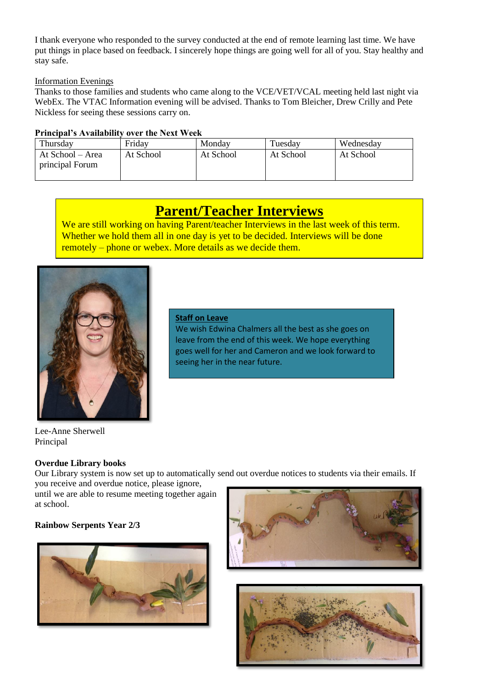I thank everyone who responded to the survey conducted at the end of remote learning last time. We have put things in place based on feedback. I sincerely hope things are going well for all of you. Stay healthy and stay safe.

### Information Evenings

Thanks to those families and students who came along to the VCE/VET/VCAL meeting held last night via WebEx. The VTAC Information evening will be advised. Thanks to Tom Bleicher, Drew Crilly and Pete Nickless for seeing these sessions carry on.

### **Principal's Availability over the Next Week**

| Thursday                            | Friday    | Monday    | Tuesday   | Wednesday |
|-------------------------------------|-----------|-----------|-----------|-----------|
| At School – Area<br>principal Forum | At School | At School | At School | At School |

## **Parent/Teacher Interviews**

We are still working on having Parent/teacher Interviews in the last week of this term. Whether we hold them all in one day is yet to be decided. Interviews will be done remotely – phone or webex. More details as we decide them.



#### **Staff on Leave**

We wish Edwina Chalmers all the best as she goes on leave from the end of this week. We hope everything goes well for her and Cameron and we look forward to seeing her in the near future.

Lee-Anne Sherwell Principal

### **Overdue Library books**

Our Library system is now set up to automatically send out overdue notices to students via their emails. If you receive and overdue notice, please ignore,

until we are able to resume meeting together again at school.

### **Rainbow Serpents Year 2/3**